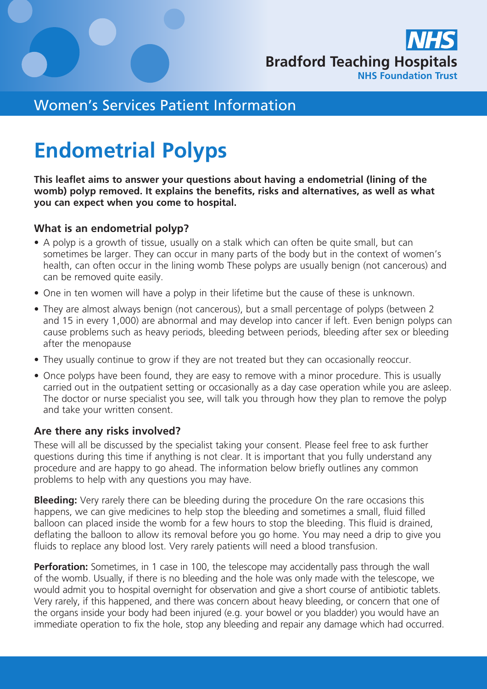



## Women's Services Patient Information

# **Endometrial Polyps**

**This leaflet aims to answer your questions about having a endometrial (lining of the womb) polyp removed. It explains the benefits, risks and alternatives, as well as what you can expect when you come to hospital.**

### **What is an endometrial polyp?**

- A polyp is a growth of tissue, usually on a stalk which can often be quite small, but can sometimes be larger. They can occur in many parts of the body but in the context of women's health, can often occur in the lining womb These polyps are usually benign (not cancerous) and can be removed quite easily.
- One in ten women will have a polyp in their lifetime but the cause of these is unknown.
- They are almost always benign (not cancerous), but a small percentage of polyps (between 2 and 15 in every 1,000) are abnormal and may develop into cancer if left. Even benign polyps can cause problems such as heavy periods, bleeding between periods, bleeding after sex or bleeding after the menopause
- They usually continue to grow if they are not treated but they can occasionally reoccur.
- Once polyps have been found, they are easy to remove with a minor procedure. This is usually carried out in the outpatient setting or occasionally as a day case operation while you are asleep. The doctor or nurse specialist you see, will talk you through how they plan to remove the polyp and take your written consent.

#### **Are there any risks involved?**

These will all be discussed by the specialist taking your consent. Please feel free to ask further questions during this time if anything is not clear. It is important that you fully understand any procedure and are happy to go ahead. The information below briefly outlines any common problems to help with any questions you may have.

**Bleeding:** Very rarely there can be bleeding during the procedure On the rare occasions this happens, we can give medicines to help stop the bleeding and sometimes a small, fluid filled balloon can placed inside the womb for a few hours to stop the bleeding. This fluid is drained, deflating the balloon to allow its removal before you go home. You may need a drip to give you fluids to replace any blood lost. Very rarely patients will need a blood transfusion.

**Perforation:** Sometimes, in 1 case in 100, the telescope may accidentally pass through the wall of the womb. Usually, if there is no bleeding and the hole was only made with the telescope, we would admit you to hospital overnight for observation and give a short course of antibiotic tablets. Very rarely, if this happened, and there was concern about heavy bleeding, or concern that one of the organs inside your body had been injured (e.g. your bowel or you bladder) you would have an immediate operation to fix the hole, stop any bleeding and repair any damage which had occurred.